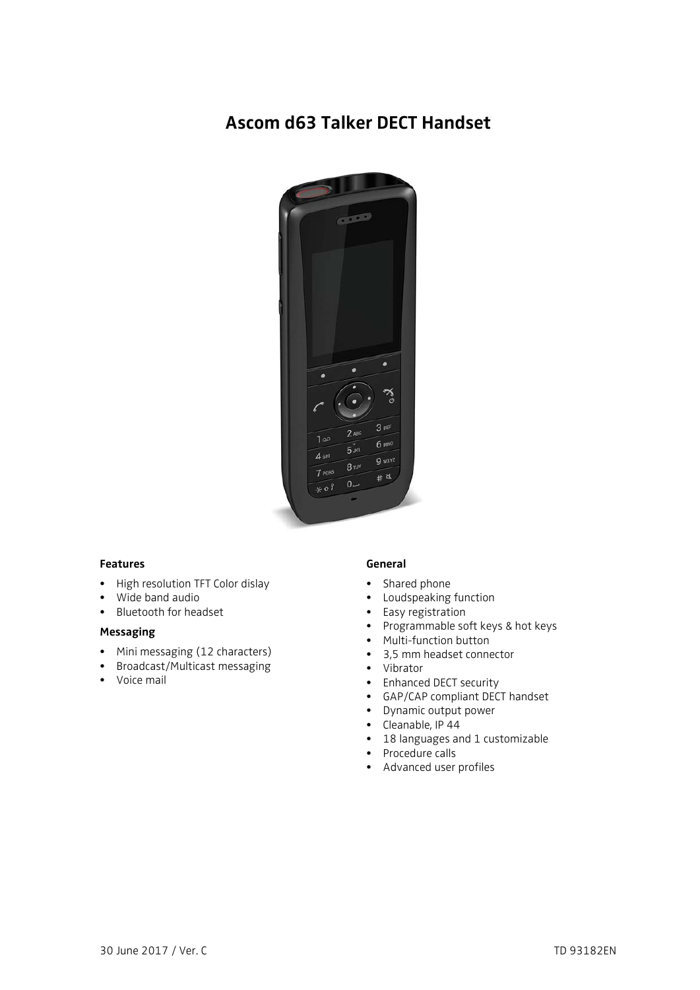# **Ascom d63 Talker DECT Handset**



## **Features**

- High resolution TFT Color dislay
- Wide band audio
- Bluetooth for headset

### **Messaging**

- Mini messaging (12 characters)
- Broadcast/Multicast messaging
- Voice mail

### **General**

- Shared phone
- Loudspeaking function
- Easy registration
- Programmable soft keys & hot keys
- Multi-function button
- 3,5 mm headset connector
- Vibrator
- Enhanced DECT security
- GAP/CAP compliant DECT handset
- Dynamic output power
- Cleanable, IP 44
- 18 languages and 1 customizable
- Procedure calls
- Advanced user profiles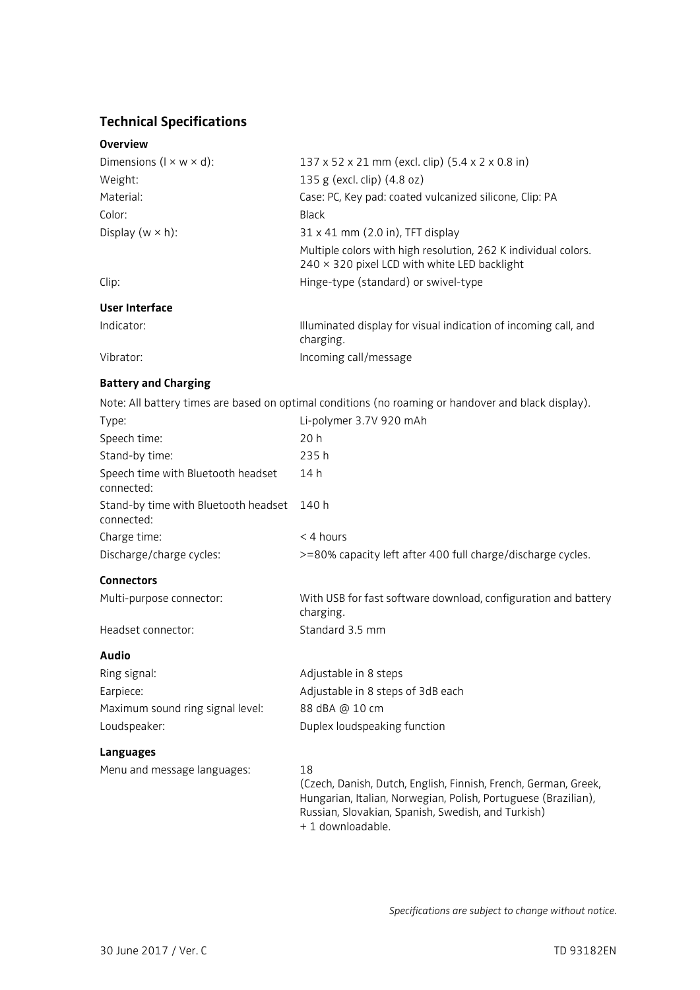# **Technical Specifications**

## **Overview**

| Dimensions ( $1 \times w \times d$ ): | 137 x 52 x 21 mm (excl. clip) (5.4 x 2 x 0.8 in)                                                                      |
|---------------------------------------|-----------------------------------------------------------------------------------------------------------------------|
| Weight:                               | 135 g (excl. clip) (4.8 oz)                                                                                           |
| Material:                             | Case: PC, Key pad: coated vulcanized silicone, Clip: PA                                                               |
| Color:                                | Black                                                                                                                 |
| Display ( $w \times h$ ):             | $31 \times 41$ mm (2.0 in), TFT display                                                                               |
|                                       | Multiple colors with high resolution, 262 K individual colors.<br>$240 \times 320$ pixel LCD with white LED backlight |
| Clip:                                 | Hinge-type (standard) or swivel-type                                                                                  |
| User Interface                        |                                                                                                                       |
| Indicator:                            | Illuminated display for visual indication of incoming call, and<br>charging.                                          |
| Vibrator:                             | Incoming call/message                                                                                                 |

# **Battery and Charging**

Note: All battery times are based on optimal conditions (no roaming or handover and black display).

| Type:                                              | Li-polymer 3.7V 920 mAh                                                                                                                 |
|----------------------------------------------------|-----------------------------------------------------------------------------------------------------------------------------------------|
| Speech time:                                       | 20 h                                                                                                                                    |
| Stand-by time:                                     | 235 h                                                                                                                                   |
| Speech time with Bluetooth headset<br>connected:   | 14 h                                                                                                                                    |
| Stand-by time with Bluetooth headset<br>connected: | 140 h                                                                                                                                   |
| Charge time:                                       | $<$ 4 hours                                                                                                                             |
| Discharge/charge cycles:                           | >=80% capacity left after 400 full charge/discharge cycles.                                                                             |
| <b>Connectors</b>                                  |                                                                                                                                         |
| Multi-purpose connector:                           | With USB for fast software download, configuration and battery<br>charging.                                                             |
| Headset connector:                                 | Standard 3.5 mm                                                                                                                         |
| Audio                                              |                                                                                                                                         |
| Ring signal:                                       | Adjustable in 8 steps                                                                                                                   |
| Earpiece:                                          | Adjustable in 8 steps of 3dB each                                                                                                       |
| Maximum sound ring signal level:                   | 88 dBA @ 10 cm                                                                                                                          |
| Loudspeaker:                                       | Duplex loudspeaking function                                                                                                            |
| <b>Languages</b>                                   |                                                                                                                                         |
| Menu and message languages:                        | 18<br>(Czech, Danish, Dutch, English, Finnish, French, German, Greek,<br>Hungarian, Italian, Norwegian, Polish, Portuguese (Brazilian), |

Hungarian, Italian, Norwegian, Polish, Portuguese (Brazilian), Russian, Slovakian, Spanish, Swedish, and Turkish) + 1 downloadable.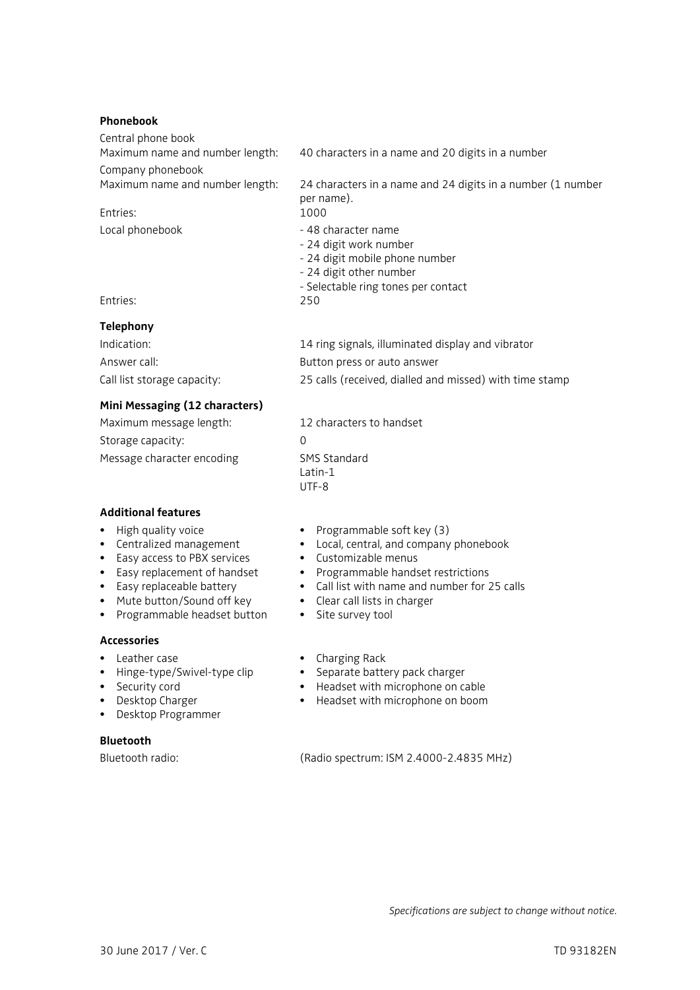### **Phonebook**

| 40 characters in a name and 20 digits in a number                                                                                                 |
|---------------------------------------------------------------------------------------------------------------------------------------------------|
|                                                                                                                                                   |
| 24 characters in a name and 24 digits in a number (1 number<br>per name).                                                                         |
| 1000                                                                                                                                              |
| - 48 character name<br>- 24 digit work number<br>- 24 digit mobile phone number<br>- 24 digit other number<br>- Selectable ring tones per contact |
| 250                                                                                                                                               |
|                                                                                                                                                   |
| 14 ring signals, illuminated display and vibrator                                                                                                 |
| Button press or auto answer                                                                                                                       |
| 25 calls (received, dialled and missed) with time stamp                                                                                           |
|                                                                                                                                                   |

#### **Mini Messaging (12 characters)**

| Maximum message length:    | 12 characters to handset |
|----------------------------|--------------------------|
| Storage capacity:          |                          |
| Message character encoding | SMS Standard<br>l atin-1 |

### **Additional features**

- High quality voice
- Centralized management
- Easy access to PBX services
- Easy replacement of handset
- Easy replaceable battery
- Mute button/Sound off key
- Programmable headset button Site survey tool

#### **Accessories**

- Leather case
- Hinge-type/Swivel-type clip
- Security cord
- Desktop Charger
- Desktop Programmer

## **Bluetooth**

#### • Programmable soft key (3)

- Local, central, and company phonebook
- Customizable menus

UTF-8

- Programmable handset restrictions
- Call list with name and number for 25 calls
- Clear call lists in charger
- 
- Charging Rack
- Separate battery pack charger
- Headset with microphone on cable
- Headset with microphone on boom

Bluetooth radio: (Radio spectrum: ISM 2.4000-2.4835 MHz)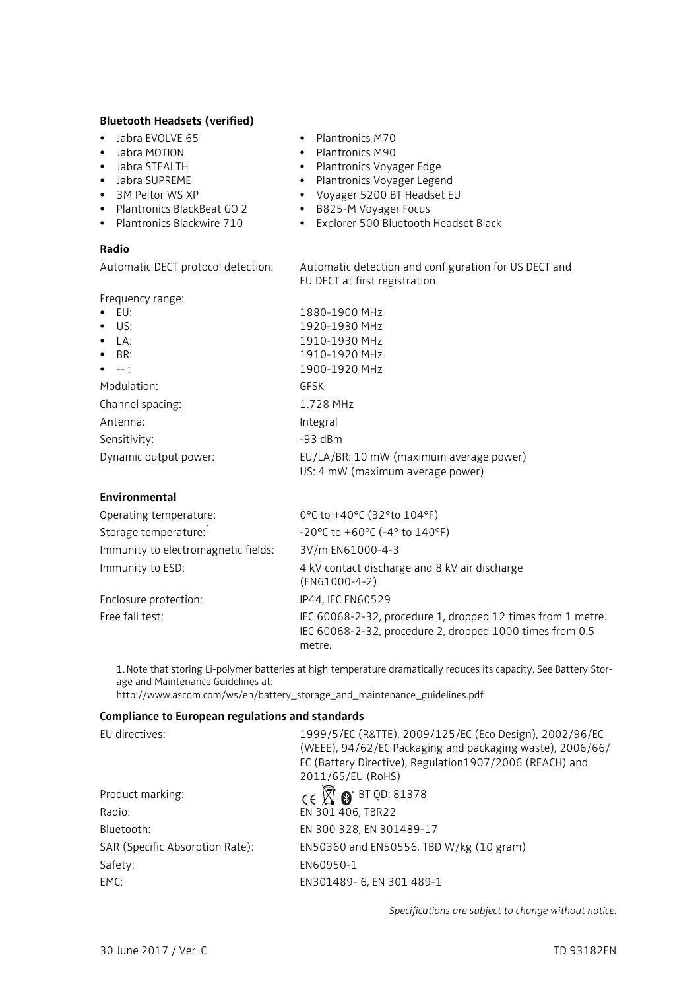#### **Bluetooth Headsets (verified)**

- Jabra EVOLVE 65
- Jabra MOTION
- Jabra STEALTH
- Jabra SUPREME
- 3M Peltor WS XP
- Plantronics BlackBeat GO 2
- Plantronics Blackwire 710

#### **Radio**

Frequency range:

| ٠ | <b>Plantronics M70</b> |
|---|------------------------|
|   |                        |

- Plantronics M90
- Plantronics Voyager Edge
- Plantronics Voyager Legend
- Voyager 5200 BT Headset EU
- B825-M Voyager Focus
- Explorer 500 Bluetooth Headset Black

Automatic DECT protocol detection: Automatic detection and configuration for US DECT and EU DECT at first registration.

| TICQUETICY TUITSC.                                  |                                                                             |
|-----------------------------------------------------|-----------------------------------------------------------------------------|
| $\bullet$ EU:                                       | 1880-1900 MHz                                                               |
| $\bullet$ US:                                       | 1920-1930 MHz                                                               |
| $\bullet$ $\upharpoonright$ A:                      | 1910-1930 MHz                                                               |
| $\bullet$ BR:                                       | 1910-1920 MHz                                                               |
| $\bullet$ $\phantom{a}$ $\phantom{a}$ $\phantom{a}$ | 1900-1920 MHz                                                               |
| Modulation:                                         | GFSK                                                                        |
| Channel spacing:                                    | 1.728 MHz                                                                   |
| Antenna:                                            | Integral                                                                    |
| Sensitivity:                                        | $-93$ dBm                                                                   |
| Dynamic output power:                               | EU/LA/BR: 10 mW (maximum average power)<br>US: 4 mW (maximum average power) |

## **Environmental**

| Operating temperature:              | 0°C to +40°C (32°to 104°F)                                                                                                        |
|-------------------------------------|-----------------------------------------------------------------------------------------------------------------------------------|
| Storage temperature: <sup>1</sup>   | $-20^{\circ}$ C to $+60^{\circ}$ C ( $-4^{\circ}$ to $140^{\circ}$ F)                                                             |
| Immunity to electromagnetic fields: | 3V/m EN61000-4-3                                                                                                                  |
| Immunity to ESD:                    | 4 kV contact discharge and 8 kV air discharge<br>$(EN61000-4-2)$                                                                  |
| Enclosure protection:               | IP44, IEC EN60529                                                                                                                 |
| Free fall test:                     | IEC 60068-2-32, procedure 1, dropped 12 times from 1 metre.<br>IEC 60068-2-32, procedure 2, dropped 1000 times from 0.5<br>metre. |

1. Note that storing Li-polymer batteries at high temperature dramatically reduces its capacity. See Battery Storage and Maintenance Guidelines at:

http://www.ascom.com/ws/en/battery\_storage\_and\_maintenance\_guidelines.pdf

### **Compliance to European regulations and standards**

| EU directives:                  | 1999/5/EC (R&TTE), 2009/125/EC (Eco Design), 2002/96/EC<br>(WEEE), 94/62/EC Packaging and packaging waste), 2006/66/<br>EC (Battery Directive), Regulation1907/2006 (REACH) and<br>2011/65/EU (RoHS) |
|---------------------------------|------------------------------------------------------------------------------------------------------------------------------------------------------------------------------------------------------|
| Product marking:                | $C \in \overline{X}$ $\bullet$ BT QD: 81378                                                                                                                                                          |
| Radio:                          | EN 301 406, TBR22                                                                                                                                                                                    |
| Bluetooth:                      | EN 300 328, EN 301489-17                                                                                                                                                                             |
| SAR (Specific Absorption Rate): | EN50360 and EN50556, TBD W/kg (10 gram)                                                                                                                                                              |
| Safety:                         | EN60950-1                                                                                                                                                                                            |
| EMC:                            | EN301489-6, EN 301 489-1                                                                                                                                                                             |

*Specifications are subject to change without notice.*